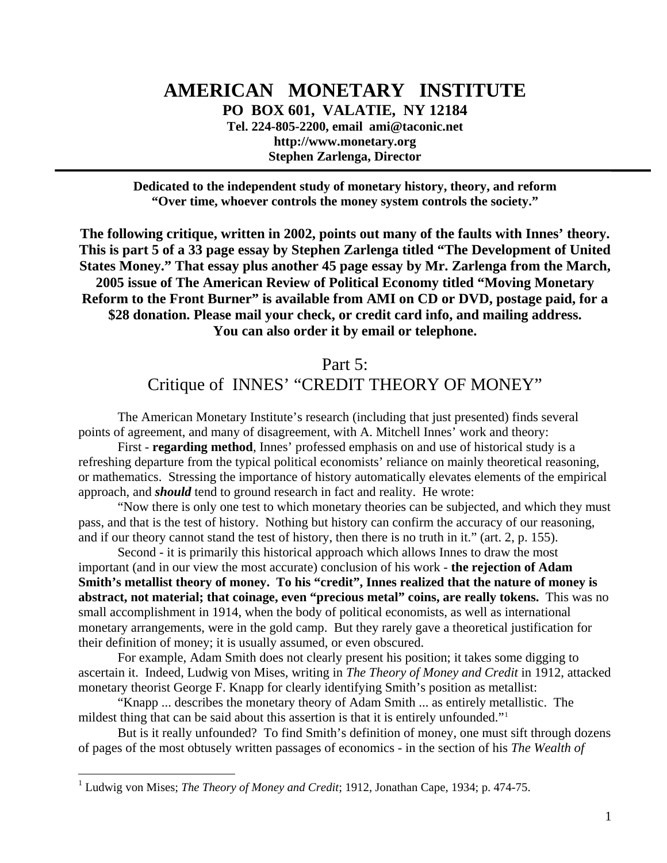# **AMERICAN MONETARY INSTITUTE**

**PO BOX 601, VALATIE, NY 12184** 

**Tel. 224-805-2200, email ami@taconic.net http://www.monetary.org Stephen Zarlenga, Director** 

**Dedicated to the independent study of monetary history, theory, and reform "Over time, whoever controls the money system controls the society."** 

**The following critique, written in 2002, points out many of the faults with Innes' theory. This is part 5 of a 33 page essay by Stephen Zarlenga titled "The Development of United States Money." That essay plus another 45 page essay by Mr. Zarlenga from the March, 2005 issue of The American Review of Political Economy titled "Moving Monetary Reform to the Front Burner" is available from AMI on CD or DVD, postage paid, for a \$28 donation. Please mail your check, or credit card info, and mailing address. You can also order it by email or telephone.** 

> Part 5: Critique of INNES' "CREDIT THEORY OF MONEY"

The American Monetary Institute's research (including that just presented) finds several points of agreement, and many of disagreement, with A. Mitchell Innes' work and theory:

First - **regarding method**, Innes' professed emphasis on and use of historical study is a refreshing departure from the typical political economists' reliance on mainly theoretical reasoning, or mathematics. Stressing the importance of history automatically elevates elements of the empirical approach, and *should* tend to ground research in fact and reality. He wrote:

"Now there is only one test to which monetary theories can be subjected, and which they must pass, and that is the test of history. Nothing but history can confirm the accuracy of our reasoning, and if our theory cannot stand the test of history, then there is no truth in it." (art. 2, p. 155).

Second - it is primarily this historical approach which allows Innes to draw the most important (and in our view the most accurate) conclusion of his work - **the rejection of Adam Smith's metallist theory of money. To his "credit", Innes realized that the nature of money is abstract, not material; that coinage, even "precious metal" coins, are really tokens.** This was no small accomplishment in 1914, when the body of political economists, as well as international monetary arrangements, were in the gold camp. But they rarely gave a theoretical justification for their definition of money; it is usually assumed, or even obscured.

For example, Adam Smith does not clearly present his position; it takes some digging to ascertain it. Indeed, Ludwig von Mises, writing in *The Theory of Money and Credit* in 1912, attacked monetary theorist George F. Knapp for clearly identifying Smith's position as metallist:

"Knapp ... describes the monetary theory of Adam Smith ... as entirely metallistic. The mildest thing that can be said about this assertion is that it is entirely unfounded."<sup>[1](#page-0-0)</sup>

But is it really unfounded? To find Smith's definition of money, one must sift through dozens of pages of the most obtusely written passages of economics - in the section of his *The Wealth of* 

<span id="page-0-0"></span> 1 Ludwig von Mises; *The Theory of Money and Credit*; 1912, Jonathan Cape, 1934; p. 474-75.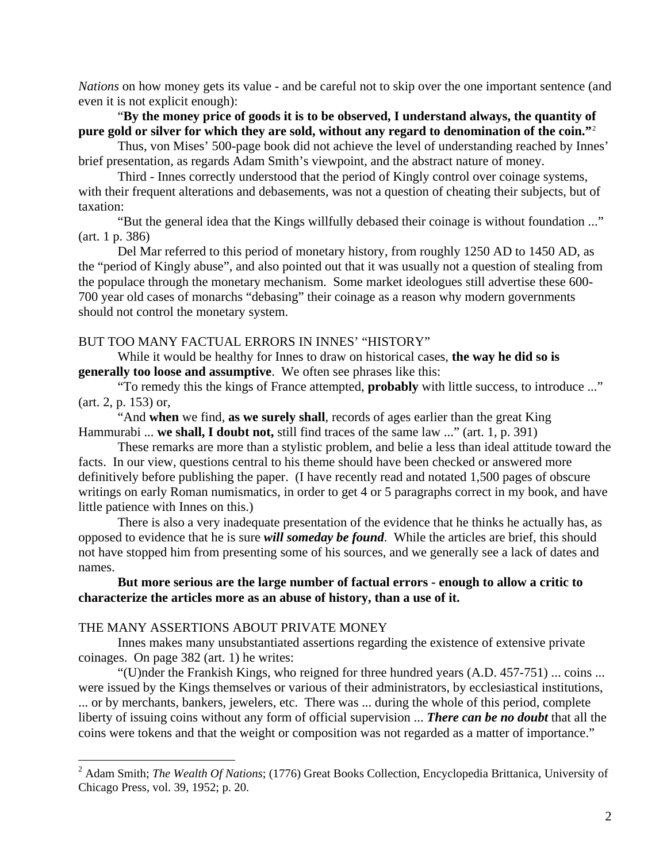*Nations* on how money gets its value - and be careful not to skip over the one important sentence (and even it is not explicit enough):

# "**By the money price of goods it is to be observed, I understand always, the quantity of pure gold or silver for which they are sold, without any regard to denomination of the coin."**[2](#page-1-0)

Thus, von Mises' 500-page book did not achieve the level of understanding reached by Innes' brief presentation, as regards Adam Smith's viewpoint, and the abstract nature of money.

Third - Innes correctly understood that the period of Kingly control over coinage systems, with their frequent alterations and debasements, was not a question of cheating their subjects, but of taxation:

"But the general idea that the Kings willfully debased their coinage is without foundation ..." (art. 1 p. 386)

Del Mar referred to this period of monetary history, from roughly 1250 AD to 1450 AD, as the "period of Kingly abuse", and also pointed out that it was usually not a question of stealing from the populace through the monetary mechanism. Some market ideologues still advertise these 600- 700 year old cases of monarchs "debasing" their coinage as a reason why modern governments should not control the monetary system.

# BUT TOO MANY FACTUAL ERRORS IN INNES' "HISTORY"

While it would be healthy for Innes to draw on historical cases, **the way he did so is generally too loose and assumptive**. We often see phrases like this:

"To remedy this the kings of France attempted, **probably** with little success, to introduce ..." (art. 2, p. 153) or,

"And **when** we find, **as we surely shall**, records of ages earlier than the great King Hammurabi ... **we shall, I doubt not,** still find traces of the same law ..." (art. 1, p. 391)

These remarks are more than a stylistic problem, and belie a less than ideal attitude toward the facts. In our view, questions central to his theme should have been checked or answered more definitively before publishing the paper. (I have recently read and notated 1,500 pages of obscure writings on early Roman numismatics, in order to get 4 or 5 paragraphs correct in my book, and have little patience with Innes on this.)

There is also a very inadequate presentation of the evidence that he thinks he actually has, as opposed to evidence that he is sure *will someday be found*. While the articles are brief, this should not have stopped him from presenting some of his sources, and we generally see a lack of dates and names.

# **But more serious are the large number of factual errors - enough to allow a critic to characterize the articles more as an abuse of history, than a use of it.**

#### THE MANY ASSERTIONS ABOUT PRIVATE MONEY

 $\overline{a}$ 

Innes makes many unsubstantiated assertions regarding the existence of extensive private coinages. On page 382 (art. 1) he writes:

"(U)nder the Frankish Kings, who reigned for three hundred years  $(A.D. 457-751)$  ... coins ... were issued by the Kings themselves or various of their administrators, by ecclesiastical institutions, ... or by merchants, bankers, jewelers, etc. There was ... during the whole of this period, complete liberty of issuing coins without any form of official supervision ... *There can be no doubt* that all the coins were tokens and that the weight or composition was not regarded as a matter of importance."

<span id="page-1-0"></span><sup>2</sup> Adam Smith; *The Wealth Of Nations*; (1776) Great Books Collection, Encyclopedia Brittanica, University of Chicago Press, vol. 39, 1952; p. 20.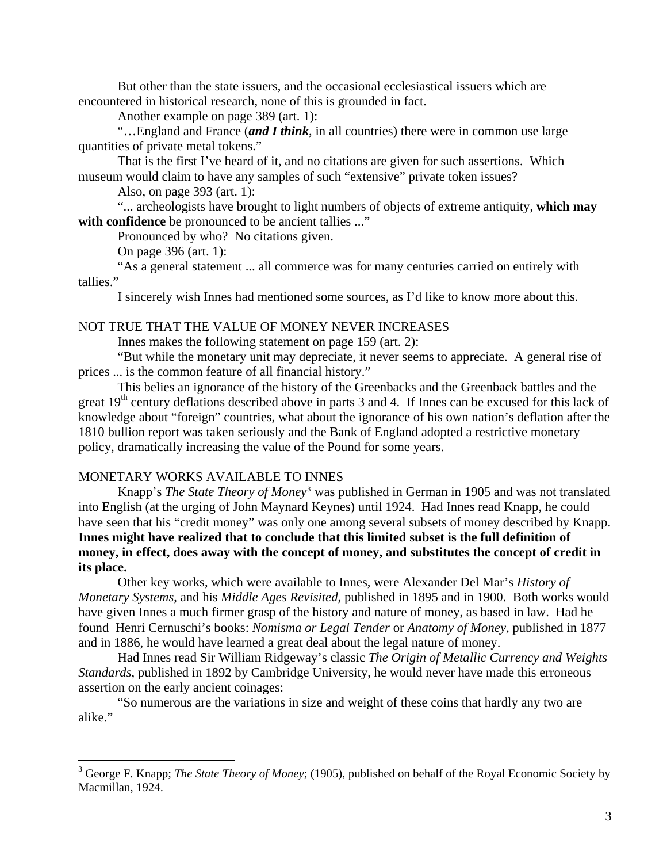But other than the state issuers, and the occasional ecclesiastical issuers which are encountered in historical research, none of this is grounded in fact.

Another example on page 389 (art. 1):

"…England and France (*and I think*, in all countries) there were in common use large quantities of private metal tokens."

That is the first I've heard of it, and no citations are given for such assertions. Which museum would claim to have any samples of such "extensive" private token issues?

Also, on page 393 (art. 1):

"... archeologists have brought to light numbers of objects of extreme antiquity, **which may**  with confidence be pronounced to be ancient tallies ..."

Pronounced by who? No citations given.

On page 396 (art. 1):

"As a general statement ... all commerce was for many centuries carried on entirely with tallies."

I sincerely wish Innes had mentioned some sources, as I'd like to know more about this.

# NOT TRUE THAT THE VALUE OF MONEY NEVER INCREASES

Innes makes the following statement on page 159 (art. 2):

"But while the monetary unit may depreciate, it never seems to appreciate. A general rise of prices ... is the common feature of all financial history."

This belies an ignorance of the history of the Greenbacks and the Greenback battles and the great  $19<sup>th</sup>$  century deflations described above in parts 3 and 4. If Innes can be excused for this lack of knowledge about "foreign" countries, what about the ignorance of his own nation's deflation after the 1810 bullion report was taken seriously and the Bank of England adopted a restrictive monetary policy, dramatically increasing the value of the Pound for some years.

#### MONETARY WORKS AVAILABLE TO INNES

 $\overline{a}$ 

Knapp's *The State Theory of Money*[3](#page-2-0) was published in German in 1905 and was not translated into English (at the urging of John Maynard Keynes) until 1924. Had Innes read Knapp, he could have seen that his "credit money" was only one among several subsets of money described by Knapp. **Innes might have realized that to conclude that this limited subset is the full definition of money, in effect, does away with the concept of money, and substitutes the concept of credit in its place.** 

 Other key works, which were available to Innes, were Alexander Del Mar's *History of Monetary Systems*, and his *Middle Ages Revisited*, published in 1895 and in 1900. Both works would have given Innes a much firmer grasp of the history and nature of money, as based in law. Had he found Henri Cernuschi's books: *Nomisma or Legal Tender* or *Anatomy of Money*, published in 1877 and in 1886, he would have learned a great deal about the legal nature of money.

 Had Innes read Sir William Ridgeway's classic *The Origin of Metallic Currency and Weights Standards*, published in 1892 by Cambridge University, he would never have made this erroneous assertion on the early ancient coinages:

 "So numerous are the variations in size and weight of these coins that hardly any two are alike."

<span id="page-2-0"></span><sup>&</sup>lt;sup>3</sup> George F. Knapp; *The State Theory of Money*; (1905), published on behalf of the Royal Economic Society by Macmillan, 1924.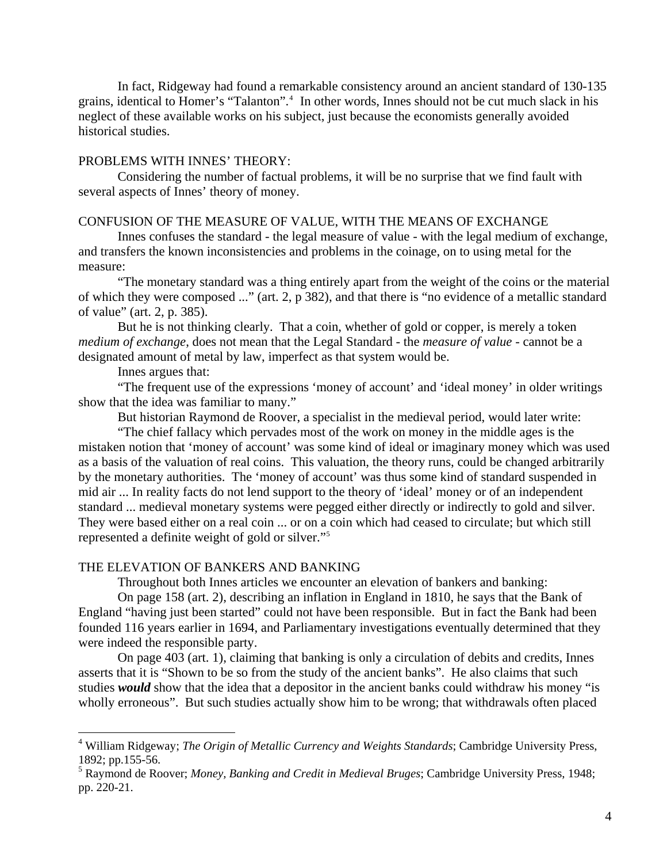In fact, Ridgeway had found a remarkable consistency around an ancient standard of 130-135 grains, identical to Homer's "Talanton".<sup>[4](#page-3-0)</sup> In other words, Innes should not be cut much slack in his neglect of these available works on his subject, just because the economists generally avoided historical studies.

# PROBLEMS WITH INNES' THEORY:

 Considering the number of factual problems, it will be no surprise that we find fault with several aspects of Innes' theory of money.

### CONFUSION OF THE MEASURE OF VALUE, WITH THE MEANS OF EXCHANGE

Innes confuses the standard - the legal measure of value - with the legal medium of exchange, and transfers the known inconsistencies and problems in the coinage, on to using metal for the measure:

"The monetary standard was a thing entirely apart from the weight of the coins or the material of which they were composed ..." (art. 2, p 382), and that there is "no evidence of a metallic standard of value" (art. 2, p. 385).

But he is not thinking clearly. That a coin, whether of gold or copper, is merely a token *medium of exchange*, does not mean that the Legal Standard - the *measure of value* - cannot be a designated amount of metal by law, imperfect as that system would be.

Innes argues that:

 $\overline{a}$ 

"The frequent use of the expressions 'money of account' and 'ideal money' in older writings show that the idea was familiar to many."

But historian Raymond de Roover, a specialist in the medieval period, would later write:

"The chief fallacy which pervades most of the work on money in the middle ages is the mistaken notion that 'money of account' was some kind of ideal or imaginary money which was used as a basis of the valuation of real coins. This valuation, the theory runs, could be changed arbitrarily by the monetary authorities. The 'money of account' was thus some kind of standard suspended in mid air ... In reality facts do not lend support to the theory of 'ideal' money or of an independent standard ... medieval monetary systems were pegged either directly or indirectly to gold and silver. They were based either on a real coin ... or on a coin which had ceased to circulate; but which still represented a definite weight of gold or silver."[5](#page-3-1)

#### THE ELEVATION OF BANKERS AND BANKING

Throughout both Innes articles we encounter an elevation of bankers and banking:

On page 158 (art. 2), describing an inflation in England in 1810, he says that the Bank of England "having just been started" could not have been responsible. But in fact the Bank had been founded 116 years earlier in 1694, and Parliamentary investigations eventually determined that they were indeed the responsible party.

On page 403 (art. 1), claiming that banking is only a circulation of debits and credits, Innes asserts that it is "Shown to be so from the study of the ancient banks". He also claims that such studies *would* show that the idea that a depositor in the ancient banks could withdraw his money "is wholly erroneous". But such studies actually show him to be wrong; that withdrawals often placed

<span id="page-3-0"></span><sup>4</sup> William Ridgeway; *The Origin of Metallic Currency and Weights Standards*; Cambridge University Press, 1892; pp.155-56.

<span id="page-3-1"></span><sup>5</sup> Raymond de Roover; *Money, Banking and Credit in Medieval Bruges*; Cambridge University Press, 1948; pp. 220-21.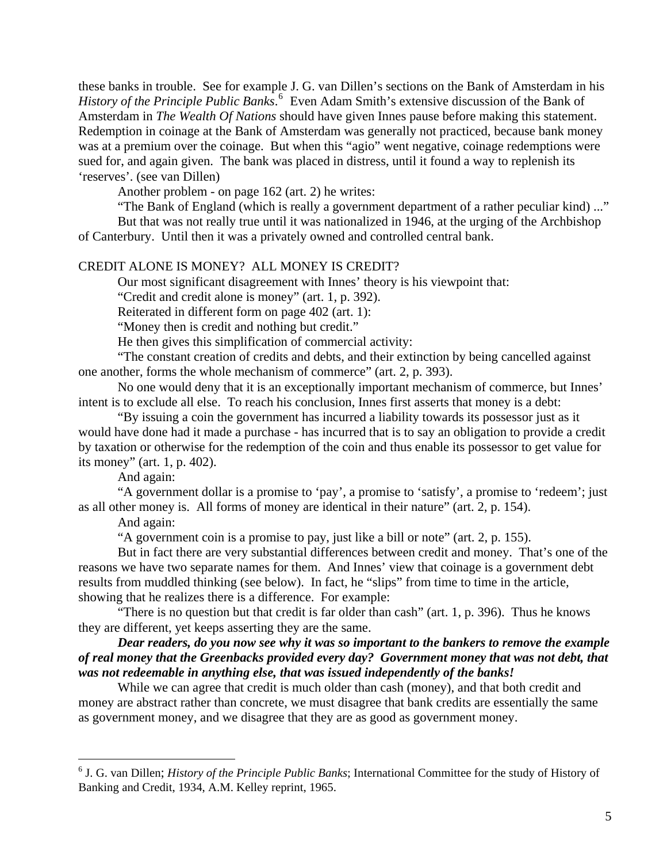these banks in trouble. See for example J. G. van Dillen's sections on the Bank of Amsterdam in his *History of the Principle Public Banks*. [6](#page-4-0) Even Adam Smith's extensive discussion of the Bank of Amsterdam in *The Wealth Of Nations* should have given Innes pause before making this statement. Redemption in coinage at the Bank of Amsterdam was generally not practiced, because bank money was at a premium over the coinage. But when this "agio" went negative, coinage redemptions were sued for, and again given. The bank was placed in distress, until it found a way to replenish its 'reserves'. (see van Dillen)

Another problem - on page 162 (art. 2) he writes:

"The Bank of England (which is really a government department of a rather peculiar kind) ..." But that was not really true until it was nationalized in 1946, at the urging of the Archbishop

of Canterbury. Until then it was a privately owned and controlled central bank.

# CREDIT ALONE IS MONEY? ALL MONEY IS CREDIT?

Our most significant disagreement with Innes' theory is his viewpoint that:

"Credit and credit alone is money" (art. 1, p. 392).

Reiterated in different form on page 402 (art. 1):

"Money then is credit and nothing but credit."

He then gives this simplification of commercial activity:

"The constant creation of credits and debts, and their extinction by being cancelled against one another, forms the whole mechanism of commerce" (art. 2, p. 393).

No one would deny that it is an exceptionally important mechanism of commerce, but Innes' intent is to exclude all else. To reach his conclusion, Innes first asserts that money is a debt:

"By issuing a coin the government has incurred a liability towards its possessor just as it would have done had it made a purchase - has incurred that is to say an obligation to provide a credit by taxation or otherwise for the redemption of the coin and thus enable its possessor to get value for its money" (art. 1, p. 402).

And again:

"A government dollar is a promise to 'pay', a promise to 'satisfy', a promise to 'redeem'; just as all other money is. All forms of money are identical in their nature" (art. 2, p. 154).

And again:

"A government coin is a promise to pay, just like a bill or note" (art. 2, p. 155).

But in fact there are very substantial differences between credit and money. That's one of the reasons we have two separate names for them. And Innes' view that coinage is a government debt results from muddled thinking (see below). In fact, he "slips" from time to time in the article, showing that he realizes there is a difference. For example:

"There is no question but that credit is far older than cash" (art. 1, p. 396). Thus he knows they are different, yet keeps asserting they are the same.

# *Dear readers, do you now see why it was so important to the bankers to remove the example of real money that the Greenbacks provided every day? Government money that was not debt, that was not redeemable in anything else, that was issued independently of the banks!*

While we can agree that credit is much older than cash (money), and that both credit and money are abstract rather than concrete, we must disagree that bank credits are essentially the same as government money, and we disagree that they are as good as government money.

<span id="page-4-0"></span> 6 J. G. van Dillen; *History of the Principle Public Banks*; International Committee for the study of History of Banking and Credit, 1934, A.M. Kelley reprint, 1965.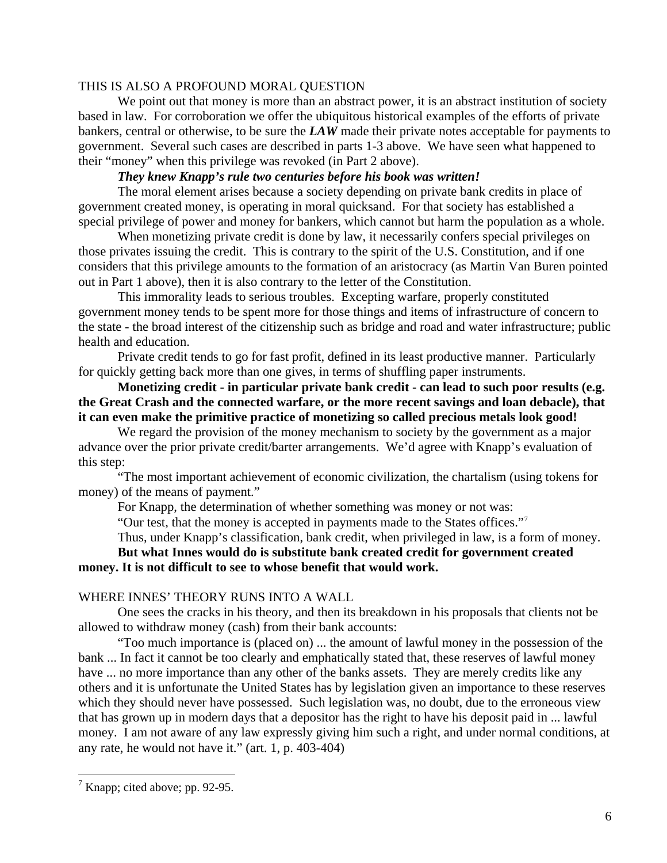# THIS IS ALSO A PROFOUND MORAL QUESTION

We point out that money is more than an abstract power, it is an abstract institution of society based in law. For corroboration we offer the ubiquitous historical examples of the efforts of private bankers, central or otherwise, to be sure the *LAW* made their private notes acceptable for payments to government. Several such cases are described in parts 1-3 above. We have seen what happened to their "money" when this privilege was revoked (in Part 2 above).

# *They knew Knapp's rule two centuries before his book was written!*

The moral element arises because a society depending on private bank credits in place of government created money, is operating in moral quicksand. For that society has established a special privilege of power and money for bankers, which cannot but harm the population as a whole.

When monetizing private credit is done by law, it necessarily confers special privileges on those privates issuing the credit. This is contrary to the spirit of the U.S. Constitution, and if one considers that this privilege amounts to the formation of an aristocracy (as Martin Van Buren pointed out in Part 1 above), then it is also contrary to the letter of the Constitution.

This immorality leads to serious troubles. Excepting warfare, properly constituted government money tends to be spent more for those things and items of infrastructure of concern to the state - the broad interest of the citizenship such as bridge and road and water infrastructure; public health and education.

Private credit tends to go for fast profit, defined in its least productive manner. Particularly for quickly getting back more than one gives, in terms of shuffling paper instruments.

**Monetizing credit - in particular private bank credit - can lead to such poor results (e.g. the Great Crash and the connected warfare, or the more recent savings and loan debacle), that it can even make the primitive practice of monetizing so called precious metals look good!** 

We regard the provision of the money mechanism to society by the government as a major advance over the prior private credit/barter arrangements. We'd agree with Knapp's evaluation of this step:

"The most important achievement of economic civilization, the chartalism (using tokens for money) of the means of payment."

For Knapp, the determination of whether something was money or not was:

"Our test, that the money is accepted in payments made to the States offices.["7](#page-5-0)

Thus, under Knapp's classification, bank credit, when privileged in law, is a form of money. **But what Innes would do is substitute bank created credit for government created money. It is not difficult to see to whose benefit that would work.** 

# WHERE INNES' THEORY RUNS INTO A WALL

 One sees the cracks in his theory, and then its breakdown in his proposals that clients not be allowed to withdraw money (cash) from their bank accounts:

 "Too much importance is (placed on) ... the amount of lawful money in the possession of the bank ... In fact it cannot be too clearly and emphatically stated that, these reserves of lawful money have ... no more importance than any other of the banks assets. They are merely credits like any others and it is unfortunate the United States has by legislation given an importance to these reserves which they should never have possessed. Such legislation was, no doubt, due to the erroneous view that has grown up in modern days that a depositor has the right to have his deposit paid in ... lawful money. I am not aware of any law expressly giving him such a right, and under normal conditions, at any rate, he would not have it." (art. 1, p. 403-404)

<span id="page-5-0"></span><sup>&</sup>lt;sup>7</sup> Knapp; cited above; pp. 92-95.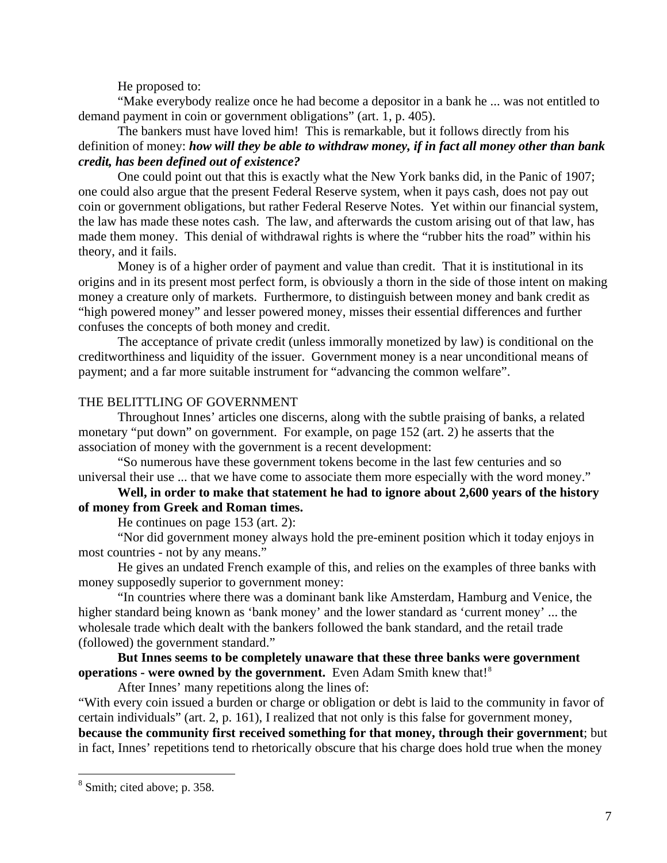He proposed to:

"Make everybody realize once he had become a depositor in a bank he ... was not entitled to demand payment in coin or government obligations" (art. 1, p. 405).

The bankers must have loved him! This is remarkable, but it follows directly from his definition of money: *how will they be able to withdraw money, if in fact all money other than bank credit, has been defined out of existence?* 

One could point out that this is exactly what the New York banks did, in the Panic of 1907; one could also argue that the present Federal Reserve system, when it pays cash, does not pay out coin or government obligations, but rather Federal Reserve Notes. Yet within our financial system, the law has made these notes cash. The law, and afterwards the custom arising out of that law, has made them money. This denial of withdrawal rights is where the "rubber hits the road" within his theory, and it fails.

Money is of a higher order of payment and value than credit. That it is institutional in its origins and in its present most perfect form, is obviously a thorn in the side of those intent on making money a creature only of markets. Furthermore, to distinguish between money and bank credit as "high powered money" and lesser powered money, misses their essential differences and further confuses the concepts of both money and credit.

The acceptance of private credit (unless immorally monetized by law) is conditional on the creditworthiness and liquidity of the issuer. Government money is a near unconditional means of payment; and a far more suitable instrument for "advancing the common welfare".

# THE BELITTLING OF GOVERNMENT

 Throughout Innes' articles one discerns, along with the subtle praising of banks, a related monetary "put down" on government. For example, on page 152 (art. 2) he asserts that the association of money with the government is a recent development:

 "So numerous have these government tokens become in the last few centuries and so universal their use ... that we have come to associate them more especially with the word money."

# **Well, in order to make that statement he had to ignore about 2,600 years of the history of money from Greek and Roman times.**

He continues on page 153 (art. 2):

 "Nor did government money always hold the pre-eminent position which it today enjoys in most countries - not by any means."

He gives an undated French example of this, and relies on the examples of three banks with money supposedly superior to government money:

 "In countries where there was a dominant bank like Amsterdam, Hamburg and Venice, the higher standard being known as 'bank money' and the lower standard as 'current money' ... the wholesale trade which dealt with the bankers followed the bank standard, and the retail trade (followed) the government standard."

**But Innes seems to be completely unaware that these three banks were government operations - were owned by the government.** Even Adam Smith knew that!<sup>[8](#page-6-0)</sup>

After Innes' many repetitions along the lines of:

"With every coin issued a burden or charge or obligation or debt is laid to the community in favor of certain individuals" (art. 2, p. 161), I realized that not only is this false for government money, **because the community first received something for that money, through their government**; but

in fact, Innes' repetitions tend to rhetorically obscure that his charge does hold true when the money

<span id="page-6-0"></span><sup>&</sup>lt;sup>8</sup> Smith; cited above; p. 358.